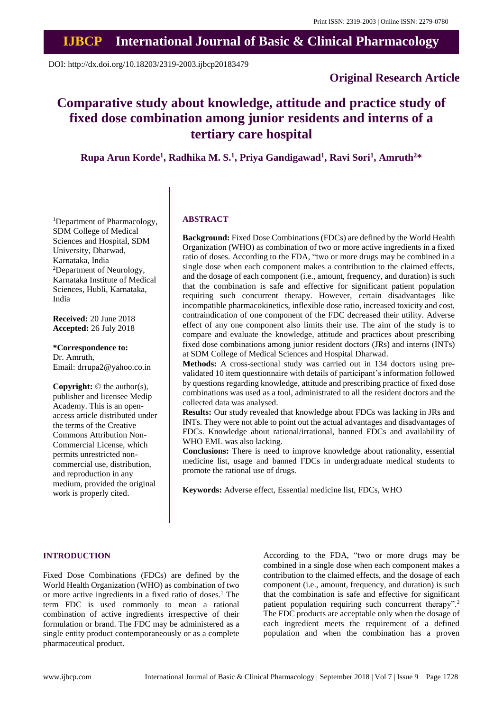# **IJBCP International Journal of Basic & Clinical Pharmacology**

DOI: http://dx.doi.org/10.18203/2319-2003.ijbcp20183479

### **Original Research Article**

## **Comparative study about knowledge, attitude and practice study of fixed dose combination among junior residents and interns of a tertiary care hospital**

**Rupa Arun Korde<sup>1</sup> , Radhika M. S. 1 , Priya Gandigawad<sup>1</sup> , Ravi Sori<sup>1</sup> , Amruth<sup>2</sup>\***

<sup>1</sup>Department of Pharmacology, SDM College of Medical Sciences and Hospital, SDM University, Dharwad, Karnataka, India <sup>2</sup>Department of Neurology, Karnataka Institute of Medical Sciences, Hubli, Karnataka, India

**Received:** 20 June 2018 **Accepted:** 26 July 2018

**\*Correspondence to:** Dr. Amruth, Email: drrupa2@yahoo.co.in

**Copyright:** © the author(s), publisher and licensee Medip Academy. This is an openaccess article distributed under the terms of the Creative Commons Attribution Non-Commercial License, which permits unrestricted noncommercial use, distribution, and reproduction in any medium, provided the original work is properly cited.

#### **ABSTRACT**

**Background:** Fixed Dose Combinations (FDCs) are defined by the World Health Organization (WHO) as combination of two or more active ingredients in a fixed ratio of doses. According to the FDA, "two or more drugs may be combined in a single dose when each component makes a contribution to the claimed effects, and the dosage of each component (i.e., amount, frequency, and duration) is such that the combination is safe and effective for significant patient population requiring such concurrent therapy. However, certain disadvantages like incompatible pharmacokinetics, inflexible dose ratio, increased toxicity and cost, contraindication of one component of the FDC decreased their utility. Adverse effect of any one component also limits their use. The aim of the study is to compare and evaluate the knowledge, attitude and practices about prescribing fixed dose combinations among junior resident doctors (JRs) and interns (INTs) at SDM College of Medical Sciences and Hospital Dharwad.

**Methods:** A cross-sectional study was carried out in 134 doctors using prevalidated 10 item questionnaire with details of participant's information followed by questions regarding knowledge, attitude and prescribing practice of fixed dose combinations was used as a tool, administrated to all the resident doctors and the collected data was analysed.

**Results:** Our study revealed that knowledge about FDCs was lacking in JRs and INTs. They were not able to point out the actual advantages and disadvantages of FDCs. Knowledge about rational/irrational, banned FDCs and availability of WHO EML was also lacking.

**Conclusions:** There is need to improve knowledge about rationality, essential medicine list, usage and banned FDCs in undergraduate medical students to promote the rational use of drugs.

**Keywords:** Adverse effect, Essential medicine list, FDCs, WHO

#### **INTRODUCTION**

Fixed Dose Combinations (FDCs) are defined by the World Health Organization (WHO) as combination of two or more active ingredients in a fixed ratio of doses.<sup>1</sup> The term FDC is used commonly to mean a rational combination of active ingredients irrespective of their formulation or brand. The FDC may be administered as a single entity product contemporaneously or as a complete pharmaceutical product.

According to the FDA, "two or more drugs may be combined in a single dose when each component makes a contribution to the claimed effects, and the dosage of each component (i.e., amount, frequency, and duration) is such that the combination is safe and effective for significant patient population requiring such concurrent therapy".<sup>2</sup> The FDC products are acceptable only when the dosage of each ingredient meets the requirement of a defined population and when the combination has a proven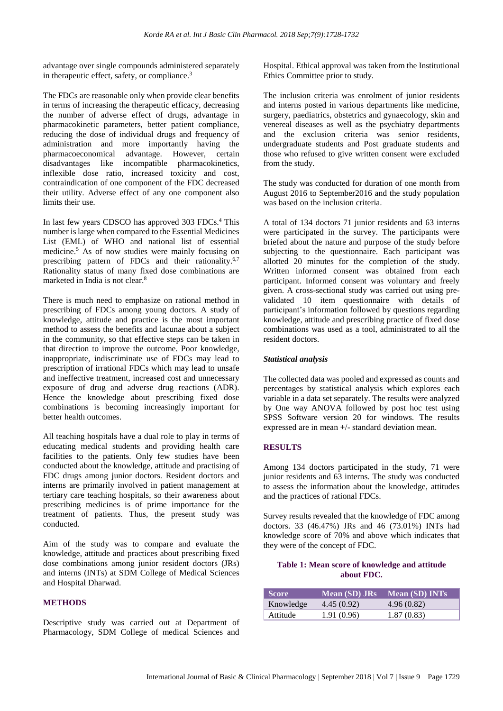advantage over single compounds administered separately in therapeutic effect, safety, or compliance.<sup>3</sup>

The FDCs are reasonable only when provide clear benefits in terms of increasing the therapeutic efficacy, decreasing the number of adverse effect of drugs, advantage in pharmacokinetic parameters, better patient compliance, reducing the dose of individual drugs and frequency of administration and more importantly having the pharmacoeconomical advantage. However, certain disadvantages like incompatible pharmacokinetics, inflexible dose ratio, increased toxicity and cost, contraindication of one component of the FDC decreased their utility. Adverse effect of any one component also limits their use.

In last few years CDSCO has approved 303 FDCs.<sup>4</sup> This number is large when compared to the Essential Medicines List (EML) of WHO and national list of essential medicine.<sup>5</sup> As of now studies were mainly focusing on prescribing pattern of FDCs and their rationality.<sup>6,7</sup> Rationality status of many fixed dose combinations are marketed in India is not clear.<sup>8</sup>

There is much need to emphasize on rational method in prescribing of FDCs among young doctors. A study of knowledge, attitude and practice is the most important method to assess the benefits and lacunae about a subject in the community, so that effective steps can be taken in that direction to improve the outcome. Poor knowledge, inappropriate, indiscriminate use of FDCs may lead to prescription of irrational FDCs which may lead to unsafe and ineffective treatment, increased cost and unnecessary exposure of drug and adverse drug reactions (ADR). Hence the knowledge about prescribing fixed dose combinations is becoming increasingly important for better health outcomes.

All teaching hospitals have a dual role to play in terms of educating medical students and providing health care facilities to the patients. Only few studies have been conducted about the knowledge, attitude and practising of FDC drugs among junior doctors. Resident doctors and interns are primarily involved in patient management at tertiary care teaching hospitals, so their awareness about prescribing medicines is of prime importance for the treatment of patients. Thus, the present study was conducted.

Aim of the study was to compare and evaluate the knowledge, attitude and practices about prescribing fixed dose combinations among junior resident doctors (JRs) and interns (INTs) at SDM College of Medical Sciences and Hospital Dharwad.

#### **METHODS**

Descriptive study was carried out at Department of Pharmacology, SDM College of medical Sciences and Hospital. Ethical approval was taken from the Institutional Ethics Committee prior to study.

The inclusion criteria was enrolment of junior residents and interns posted in various departments like medicine, surgery, paediatrics, obstetrics and gynaecology, skin and venereal diseases as well as the psychiatry departments and the exclusion criteria was senior residents, undergraduate students and Post graduate students and those who refused to give written consent were excluded from the study.

The study was conducted for duration of one month from August 2016 to September2016 and the study population was based on the inclusion criteria.

A total of 134 doctors 71 junior residents and 63 interns were participated in the survey. The participants were briefed about the nature and purpose of the study before subjecting to the questionnaire. Each participant was allotted 20 minutes for the completion of the study. Written informed consent was obtained from each participant. Informed consent was voluntary and freely given. A cross-sectional study was carried out using prevalidated 10 item questionnaire with details of participant's information followed by questions regarding knowledge, attitude and prescribing practice of fixed dose combinations was used as a tool, administrated to all the resident doctors.

#### *Statistical analysis*

The collected data was pooled and expressed as counts and percentages by statistical analysis which explores each variable in a data set separately. The results were analyzed by One way ANOVA followed by post hoc test using SPSS Software version 20 for windows. The results expressed are in mean +/- standard deviation mean.

#### **RESULTS**

Among 134 doctors participated in the study, 71 were junior residents and 63 interns. The study was conducted to assess the information about the knowledge, attitudes and the practices of rational FDCs.

Survey results revealed that the knowledge of FDC among doctors. 33 (46.47%) JRs and 46 (73.01%) INTs had knowledge score of 70% and above which indicates that they were of the concept of FDC.

#### **Table 1: Mean score of knowledge and attitude about FDC.**

| Score     | <b>Mean (SD) JRs</b> | <b>Mean (SD) INTs</b> |
|-----------|----------------------|-----------------------|
| Knowledge | 4.45(0.92)           | 4.96(0.82)            |
| Attitude  | 1.91 (0.96)          | 1.87(0.83)            |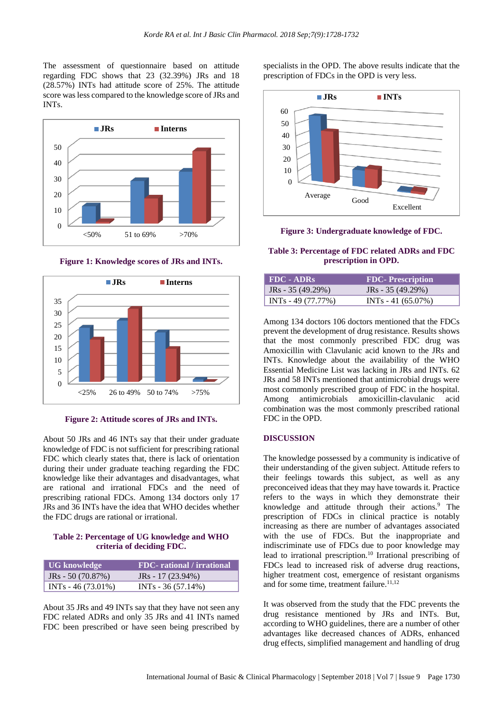The assessment of questionnaire based on attitude regarding FDC shows that 23 (32.39%) JRs and 18 (28.57%) INTs had attitude score of 25%. The attitude score was less compared to the knowledge score of JRs and INTs.



**Figure 1: Knowledge scores of JRs and INTs.**



**Figure 2: Attitude scores of JRs and INTs.**

About 50 JRs and 46 INTs say that their under graduate knowledge of FDC is not sufficient for prescribing rational FDC which clearly states that, there is lack of orientation during their under graduate teaching regarding the FDC knowledge like their advantages and disadvantages, what are rational and irrational FDCs and the need of prescribing rational FDCs. Among 134 doctors only 17 JRs and 36 INTs have the idea that WHO decides whether the FDC drugs are rational or irrational.

#### **Table 2: Percentage of UG knowledge and WHO criteria of deciding FDC.**

| UG knowledge         | <b>FDC-</b> rational / irrational |
|----------------------|-----------------------------------|
| $JRs - 50(70.87%)$   | JRs - $17(23.94\%)$               |
| $INTs - 46 (73.01%)$ | $INTs - 36 (57.14%)$              |

About 35 JRs and 49 INTs say that they have not seen any FDC related ADRs and only 35 JRs and 41 INTs named FDC been prescribed or have seen being prescribed by

specialists in the OPD. The above results indicate that the prescription of FDCs in the OPD is very less.



**Figure 3: Undergraduate knowledge of FDC.**

#### **Table 3: Percentage of FDC related ADRs and FDC prescription in OPD.**

| $FDC - ADRs$         | <b>FDC</b> - Prescription |
|----------------------|---------------------------|
| $JRs - 35(49.29%)$   | $JRs - 35(49.29%)$        |
| $INTs - 49 (77.77%)$ | $INTs - 41 (65.07%)$      |

Among 134 doctors 106 doctors mentioned that the FDCs prevent the development of drug resistance. Results shows that the most commonly prescribed FDC drug was Amoxicillin with Clavulanic acid known to the JRs and INTs. Knowledge about the availability of the WHO Essential Medicine List was lacking in JRs and INTs. 62 JRs and 58 INTs mentioned that antimicrobial drugs were most commonly prescribed group of FDC in the hospital. Among antimicrobials amoxicillin-clavulanic acid combination was the most commonly prescribed rational FDC in the OPD.

#### **DISCUSSION**

The knowledge possessed by a community is indicative of their understanding of the given subject. Attitude refers to their feelings towards this subject, as well as any preconceived ideas that they may have towards it. Practice refers to the ways in which they demonstrate their knowledge and attitude through their actions.<sup>9</sup> The prescription of FDCs in clinical practice is notably increasing as there are number of advantages associated with the use of FDCs. But the inappropriate and indiscriminate use of FDCs due to poor knowledge may lead to irrational prescription.<sup>10</sup> Irrational prescribing of FDCs lead to increased risk of adverse drug reactions, higher treatment cost, emergence of resistant organisms and for some time, treatment failure.<sup>11,12</sup>

It was observed from the study that the FDC prevents the drug resistance mentioned by JRs and INTs. But, according to WHO guidelines, there are a number of other advantages like decreased chances of ADRs, enhanced drug effects, simplified management and handling of drug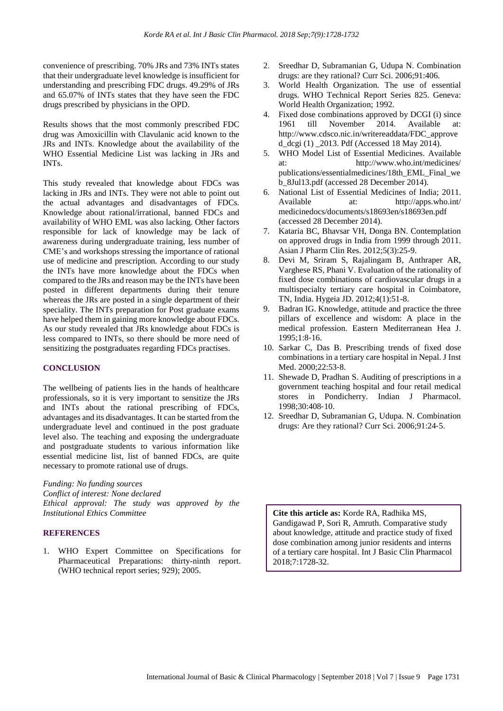convenience of prescribing. 70% JRs and 73% INTs states that their undergraduate level knowledge is insufficient for understanding and prescribing FDC drugs. 49.29% of JRs and 65.07% of INTs states that they have seen the FDC drugs prescribed by physicians in the OPD.

Results shows that the most commonly prescribed FDC drug was Amoxicillin with Clavulanic acid known to the JRs and INTs. Knowledge about the availability of the WHO Essential Medicine List was lacking in JRs and INTs.

This study revealed that knowledge about FDCs was lacking in JRs and INTs. They were not able to point out the actual advantages and disadvantages of FDCs. Knowledge about rational/irrational, banned FDCs and availability of WHO EML was also lacking. Other factors responsible for lack of knowledge may be lack of awareness during undergraduate training, less number of CME's and workshops stressing the importance of rational use of medicine and prescription. According to our study the INTs have more knowledge about the FDCs when compared to the JRs and reason may be the INTs have been posted in different departments during their tenure whereas the JRs are posted in a single department of their speciality. The INTs preparation for Post graduate exams have helped them in gaining more knowledge about FDCs. As our study revealed that JRs knowledge about FDCs is less compared to INTs, so there should be more need of sensitizing the postgraduates regarding FDCs practises.

#### **CONCLUSION**

The wellbeing of patients lies in the hands of healthcare professionals, so it is very important to sensitize the JRs and INTs about the rational prescribing of FDCs, advantages and its disadvantages. It can be started from the undergraduate level and continued in the post graduate level also. The teaching and exposing the undergraduate and postgraduate students to various information like essential medicine list, list of banned FDCs, are quite necessary to promote rational use of drugs.

*Funding: No funding sources*

*Conflict of interest: None declared Ethical approval: The study was approved by the Institutional Ethics Committee*

#### **REFERENCES**

1. WHO Expert Committee on Specifications for Pharmaceutical Preparations: thirty-ninth report. (WHO technical report series; 929); 2005.

- 2. Sreedhar D, Subramanian G, Udupa N. Combination drugs: are they rational? Curr Sci. 2006;91:406.
- 3. World Health Organization. The use of essential drugs. WHO Technical Report Series 825. Geneva: World Health Organization; 1992.
- 4. Fixed dose combinations approved by DCGI (i) since 1961 till November 2014. Available at: http://www.cdsco.nic.in/writereaddata/FDC\_approve d\_dcgi (1) \_2013. Pdf (Accessed 18 May 2014).
- 5. WHO Model List of Essential Medicines. Available at: http://www.who.int/medicines/ publications/essentialmedicines/18th\_EML\_Final\_we b\_8Jul13.pdf (accessed 28 December 2014).
- 6. National List of Essential Medicines of India; 2011. Available at: http://apps.who.int/ medicinedocs/documents/s18693en/s18693en.pdf (accessed 28 December 2014).
- 7. Kataria BC, Bhavsar VH, Donga BN. Contemplation on approved drugs in India from 1999 through 2011. Asian J Pharm Clin Res. 2012;5(3):25-9.
- 8. Devi M, Sriram S, Rajalingam B, Anthraper AR, Varghese RS, Phani V. Evaluation of the rationality of fixed dose combinations of cardiovascular drugs in a multispecialty tertiary care hospital in Coimbatore, TN, India. Hygeia JD. 2012;4(1):51-8.
- 9. Badran IG. Knowledge, attitude and practice the three pillars of excellence and wisdom: A place in the medical profession. Eastern Mediterranean Hea J. 1995;1:8‑16.
- 10. Sarkar C, Das B. Prescribing trends of fixed dose combinations in a tertiary care hospital in Nepal. J Inst Med. 2000:22:53-8.
- 11. Shewade D, Pradhan S. Auditing of prescriptions in a government teaching hospital and four retail medical stores in Pondicherry. Indian J Pharmacol. 1998;30:408‑10.
- 12. Sreedhar D, Subramanian G, Udupa. N. Combination drugs: Are they rational? Curr Sci. 2006;91:24‑5.

**Cite this article as:** Korde RA, Radhika MS, Gandigawad P, Sori R, Amruth. Comparative study about knowledge, attitude and practice study of fixed dose combination among junior residents and interns of a tertiary care hospital. Int J Basic Clin Pharmacol 2018;7:1728-32.